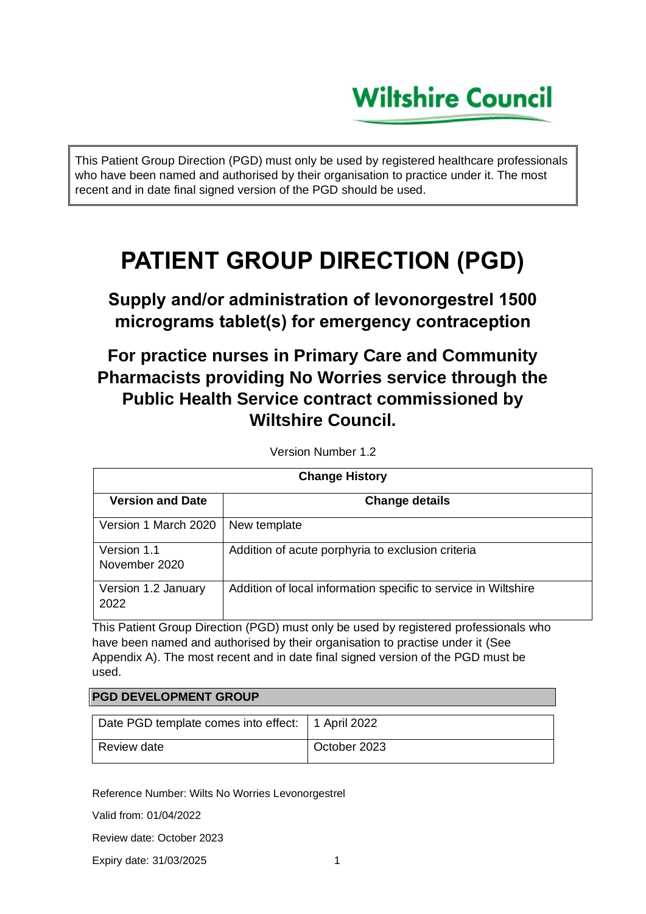# **Wiltshire Council**

This Patient Group Direction (PGD) must only be used by registered healthcare professionals who have been named and authorised by their organisation to practice under it. The most recent and in date final signed version of the PGD should be used.

# **PATIENT GROUP DIRECTION (PGD)**

**Supply and/or administration of levonorgestrel 1500 micrograms tablet(s) for emergency contraception**

## **For practice nurses in Primary Care and Community Pharmacists providing No Worries service through the Public Health Service contract commissioned by Wiltshire Council.**

| <b>Change History</b>        |                                                                |  |
|------------------------------|----------------------------------------------------------------|--|
| <b>Version and Date</b>      | <b>Change details</b>                                          |  |
| Version 1 March 2020         | New template                                                   |  |
| Version 1.1<br>November 2020 | Addition of acute porphyria to exclusion criteria              |  |
| Version 1.2 January<br>2022  | Addition of local information specific to service in Wiltshire |  |

Version Number 1.2

This Patient Group Direction (PGD) must only be used by registered professionals who have been named and authorised by their organisation to practise under it (See Appendix A). The most recent and in date final signed version of the PGD must be used.

### **PGD DEVELOPMENT GROUP**

| Date PGD template comes into effect:   1 April 2022 |              |
|-----------------------------------------------------|--------------|
| l Review date                                       | October 2023 |

Reference Number: Wilts No Worries Levonorgestrel

Valid from: 01/04/2022

Review date: October 2023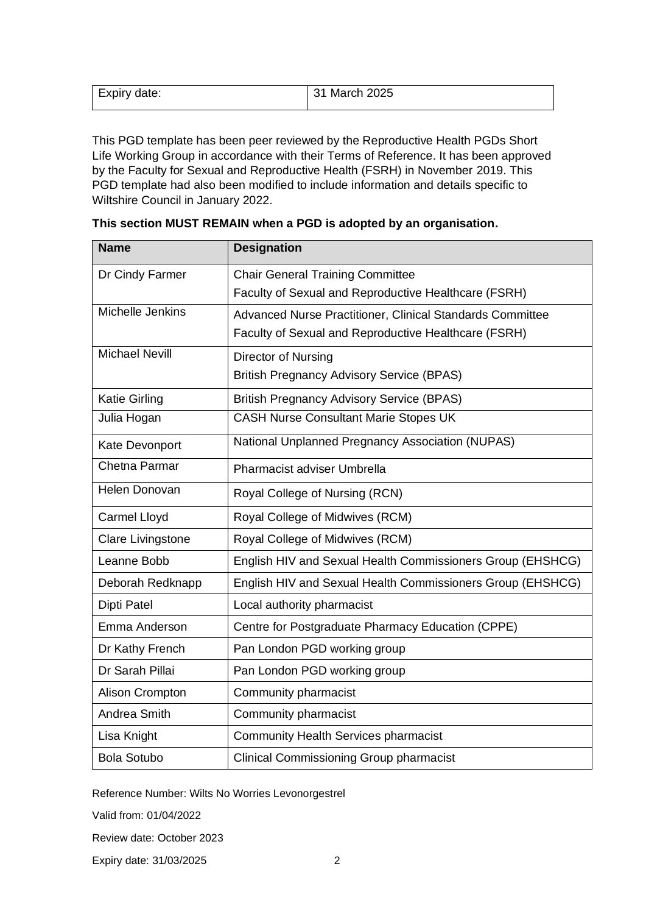| Expiry date: | 31 March 2025 |
|--------------|---------------|
|              |               |

This PGD template has been peer reviewed by the Reproductive Health PGDs Short Life Working Group in accordance with their Terms of Reference. It has been approved by the Faculty for Sexual and Reproductive Health (FSRH) in November 2019. This PGD template had also been modified to include information and details specific to Wiltshire Council in January 2022.

| <b>Name</b>              | <b>Designation</b>                                         |
|--------------------------|------------------------------------------------------------|
| Dr Cindy Farmer          | <b>Chair General Training Committee</b>                    |
|                          | Faculty of Sexual and Reproductive Healthcare (FSRH)       |
| Michelle Jenkins         | Advanced Nurse Practitioner, Clinical Standards Committee  |
|                          | Faculty of Sexual and Reproductive Healthcare (FSRH)       |
| <b>Michael Nevill</b>    | Director of Nursing                                        |
|                          | <b>British Pregnancy Advisory Service (BPAS)</b>           |
| <b>Katie Girling</b>     | <b>British Pregnancy Advisory Service (BPAS)</b>           |
| Julia Hogan              | <b>CASH Nurse Consultant Marie Stopes UK</b>               |
| Kate Devonport           | National Unplanned Pregnancy Association (NUPAS)           |
| Chetna Parmar            | Pharmacist adviser Umbrella                                |
| Helen Donovan            | Royal College of Nursing (RCN)                             |
| <b>Carmel Lloyd</b>      | Royal College of Midwives (RCM)                            |
| <b>Clare Livingstone</b> | Royal College of Midwives (RCM)                            |
| Leanne Bobb              | English HIV and Sexual Health Commissioners Group (EHSHCG) |
| Deborah Redknapp         | English HIV and Sexual Health Commissioners Group (EHSHCG) |
| <b>Dipti Patel</b>       | Local authority pharmacist                                 |
| Emma Anderson            | Centre for Postgraduate Pharmacy Education (CPPE)          |
| Dr Kathy French          | Pan London PGD working group                               |
| Dr Sarah Pillai          | Pan London PGD working group                               |
| Alison Crompton          | Community pharmacist                                       |
| Andrea Smith             | Community pharmacist                                       |
| Lisa Knight              | <b>Community Health Services pharmacist</b>                |
| <b>Bola Sotubo</b>       | <b>Clinical Commissioning Group pharmacist</b>             |

| This section MUST REMAIN when a PGD is adopted by an organisation. |  |  |  |  |  |
|--------------------------------------------------------------------|--|--|--|--|--|
|--------------------------------------------------------------------|--|--|--|--|--|

Reference Number: Wilts No Worries Levonorgestrel

Valid from: 01/04/2022

Review date: October 2023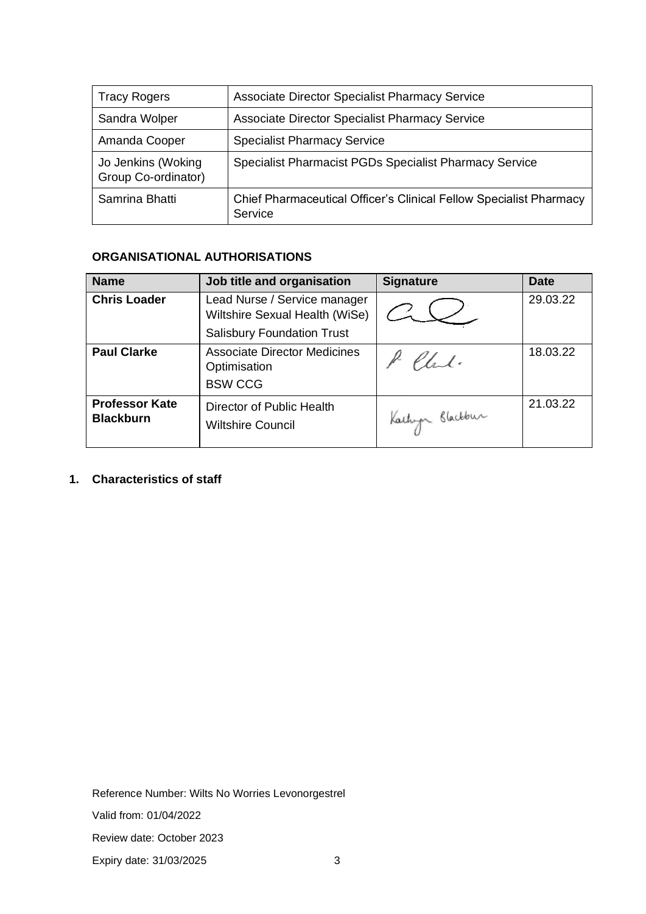| <b>Tracy Rogers</b>                       | <b>Associate Director Specialist Pharmacy Service</b>                         |
|-------------------------------------------|-------------------------------------------------------------------------------|
| Sandra Wolper                             | <b>Associate Director Specialist Pharmacy Service</b>                         |
| Amanda Cooper                             | <b>Specialist Pharmacy Service</b>                                            |
| Jo Jenkins (Woking<br>Group Co-ordinator) | Specialist Pharmacist PGDs Specialist Pharmacy Service                        |
| Samrina Bhatti                            | Chief Pharmaceutical Officer's Clinical Fellow Specialist Pharmacy<br>Service |

## **ORGANISATIONAL AUTHORISATIONS**

| <b>Name</b>                               | Job title and organisation                                            | <b>Signature</b> | <b>Date</b> |
|-------------------------------------------|-----------------------------------------------------------------------|------------------|-------------|
| <b>Chris Loader</b>                       | Lead Nurse / Service manager<br>Wiltshire Sexual Health (WiSe)        |                  | 29.03.22    |
|                                           | <b>Salisbury Foundation Trust</b>                                     |                  |             |
| <b>Paul Clarke</b>                        | <b>Associate Director Medicines</b><br>Optimisation<br><b>BSW CCG</b> | Clark.           | 18.03.22    |
| <b>Professor Kate</b><br><b>Blackburn</b> | Director of Public Health<br><b>Wiltshire Council</b>                 | Kartup Blackbur  | 21.03.22    |

## **1. Characteristics of staff**

Reference Number: Wilts No Worries Levonorgestrel

Valid from: 01/04/2022

Review date: October 2023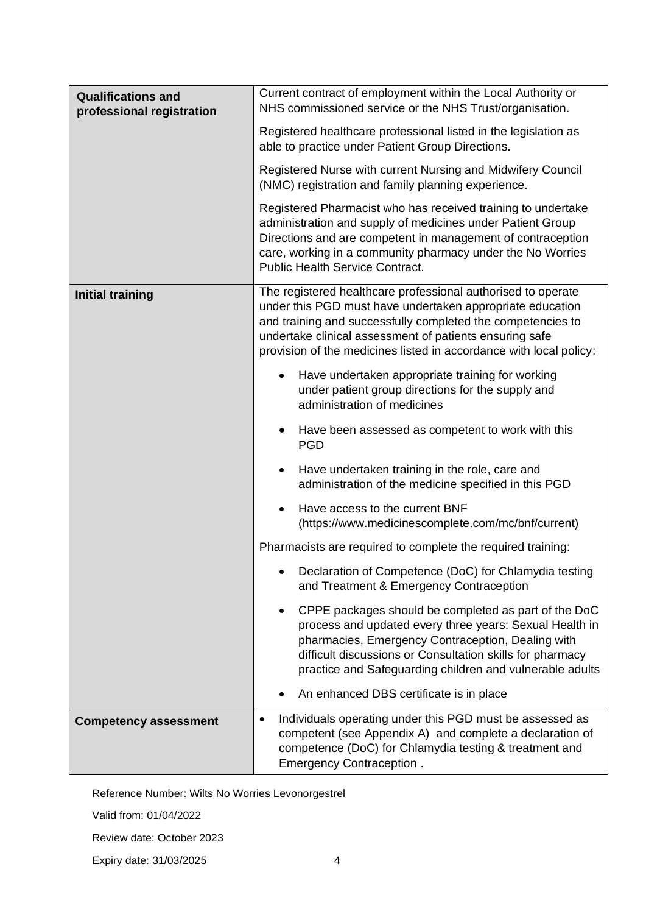| <b>Qualifications and</b><br>professional registration | Current contract of employment within the Local Authority or<br>NHS commissioned service or the NHS Trust/organisation.                                                                                                                                                                                                   |
|--------------------------------------------------------|---------------------------------------------------------------------------------------------------------------------------------------------------------------------------------------------------------------------------------------------------------------------------------------------------------------------------|
|                                                        | Registered healthcare professional listed in the legislation as<br>able to practice under Patient Group Directions.                                                                                                                                                                                                       |
|                                                        | Registered Nurse with current Nursing and Midwifery Council<br>(NMC) registration and family planning experience.                                                                                                                                                                                                         |
|                                                        | Registered Pharmacist who has received training to undertake<br>administration and supply of medicines under Patient Group<br>Directions and are competent in management of contraception<br>care, working in a community pharmacy under the No Worries<br><b>Public Health Service Contract.</b>                         |
| <b>Initial training</b>                                | The registered healthcare professional authorised to operate<br>under this PGD must have undertaken appropriate education<br>and training and successfully completed the competencies to<br>undertake clinical assessment of patients ensuring safe<br>provision of the medicines listed in accordance with local policy: |
|                                                        | Have undertaken appropriate training for working<br>$\bullet$<br>under patient group directions for the supply and<br>administration of medicines                                                                                                                                                                         |
|                                                        | Have been assessed as competent to work with this<br>$\bullet$<br><b>PGD</b>                                                                                                                                                                                                                                              |
|                                                        | Have undertaken training in the role, care and<br>٠<br>administration of the medicine specified in this PGD                                                                                                                                                                                                               |
|                                                        | Have access to the current BNF<br>$\bullet$<br>(https://www.medicinescomplete.com/mc/bnf/current)                                                                                                                                                                                                                         |
|                                                        | Pharmacists are required to complete the required training:                                                                                                                                                                                                                                                               |
|                                                        | Declaration of Competence (DoC) for Chlamydia testing<br>and Treatment & Emergency Contraception                                                                                                                                                                                                                          |
|                                                        | CPPE packages should be completed as part of the DoC<br>process and updated every three years: Sexual Health in<br>pharmacies, Emergency Contraception, Dealing with<br>difficult discussions or Consultation skills for pharmacy<br>practice and Safeguarding children and vulnerable adults                             |
|                                                        | An enhanced DBS certificate is in place                                                                                                                                                                                                                                                                                   |
| <b>Competency assessment</b>                           | Individuals operating under this PGD must be assessed as<br>$\bullet$<br>competent (see Appendix A) and complete a declaration of<br>competence (DoC) for Chlamydia testing & treatment and<br>Emergency Contraception.                                                                                                   |

Valid from: 01/04/2022

Review date: October 2023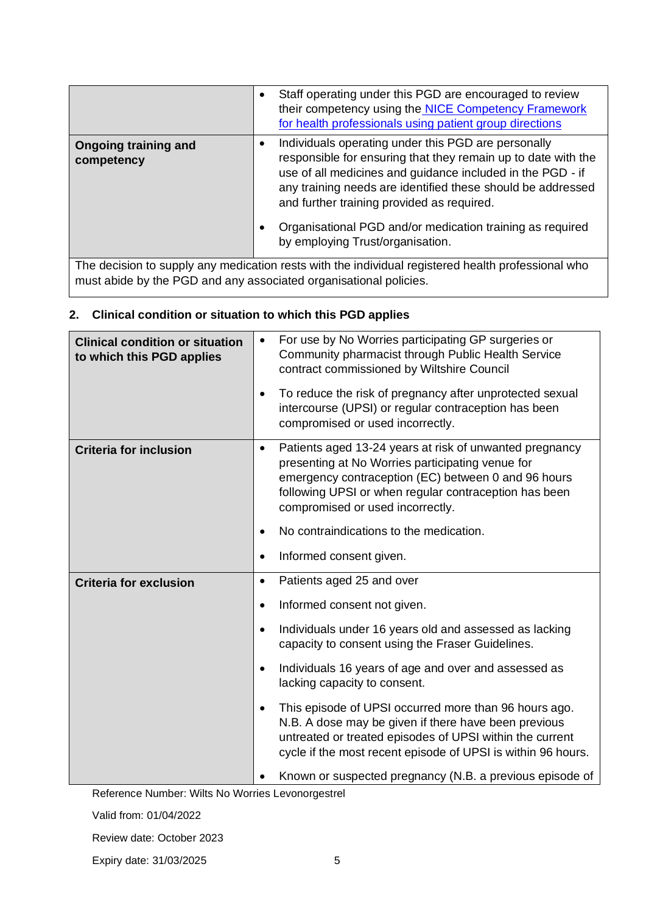|                                                                   | Staff operating under this PGD are encouraged to review<br>their competency using the NICE Competency Framework<br>for health professionals using patient group directions                                                                                                                                                                                                                       |
|-------------------------------------------------------------------|--------------------------------------------------------------------------------------------------------------------------------------------------------------------------------------------------------------------------------------------------------------------------------------------------------------------------------------------------------------------------------------------------|
| <b>Ongoing training and</b><br>competency                         | Individuals operating under this PGD are personally<br>responsible for ensuring that they remain up to date with the<br>use of all medicines and guidance included in the PGD - if<br>any training needs are identified these should be addressed<br>and further training provided as required.<br>Organisational PGD and/or medication training as required<br>by employing Trust/organisation. |
|                                                                   |                                                                                                                                                                                                                                                                                                                                                                                                  |
| must abide by the PGD and any associated organisational policies. | The decision to supply any medication rests with the individual registered health professional who                                                                                                                                                                                                                                                                                               |

## **2. Clinical condition or situation to which this PGD applies**

| <b>Clinical condition or situation</b><br>to which this PGD applies | For use by No Worries participating GP surgeries or<br>$\bullet$<br>Community pharmacist through Public Health Service<br>contract commissioned by Wiltshire Council                                                                                                         |
|---------------------------------------------------------------------|------------------------------------------------------------------------------------------------------------------------------------------------------------------------------------------------------------------------------------------------------------------------------|
|                                                                     | To reduce the risk of pregnancy after unprotected sexual<br>$\bullet$<br>intercourse (UPSI) or regular contraception has been<br>compromised or used incorrectly.                                                                                                            |
| <b>Criteria for inclusion</b>                                       | Patients aged 13-24 years at risk of unwanted pregnancy<br>$\bullet$<br>presenting at No Worries participating venue for<br>emergency contraception (EC) between 0 and 96 hours<br>following UPSI or when regular contraception has been<br>compromised or used incorrectly. |
|                                                                     | No contraindications to the medication.<br>$\bullet$                                                                                                                                                                                                                         |
|                                                                     | Informed consent given.<br>$\bullet$                                                                                                                                                                                                                                         |
| <b>Criteria for exclusion</b>                                       | Patients aged 25 and over<br>$\bullet$                                                                                                                                                                                                                                       |
|                                                                     | Informed consent not given.<br>$\bullet$                                                                                                                                                                                                                                     |
|                                                                     | Individuals under 16 years old and assessed as lacking<br>$\bullet$<br>capacity to consent using the Fraser Guidelines.                                                                                                                                                      |
|                                                                     | Individuals 16 years of age and over and assessed as<br>lacking capacity to consent.                                                                                                                                                                                         |
|                                                                     | This episode of UPSI occurred more than 96 hours ago.<br>$\bullet$<br>N.B. A dose may be given if there have been previous<br>untreated or treated episodes of UPSI within the current<br>cycle if the most recent episode of UPSI is within 96 hours.                       |
|                                                                     | Known or suspected pregnancy (N.B. a previous episode of                                                                                                                                                                                                                     |

Reference Number: Wilts No Worries Levonorgestrel

Valid from: 01/04/2022

Review date: October 2023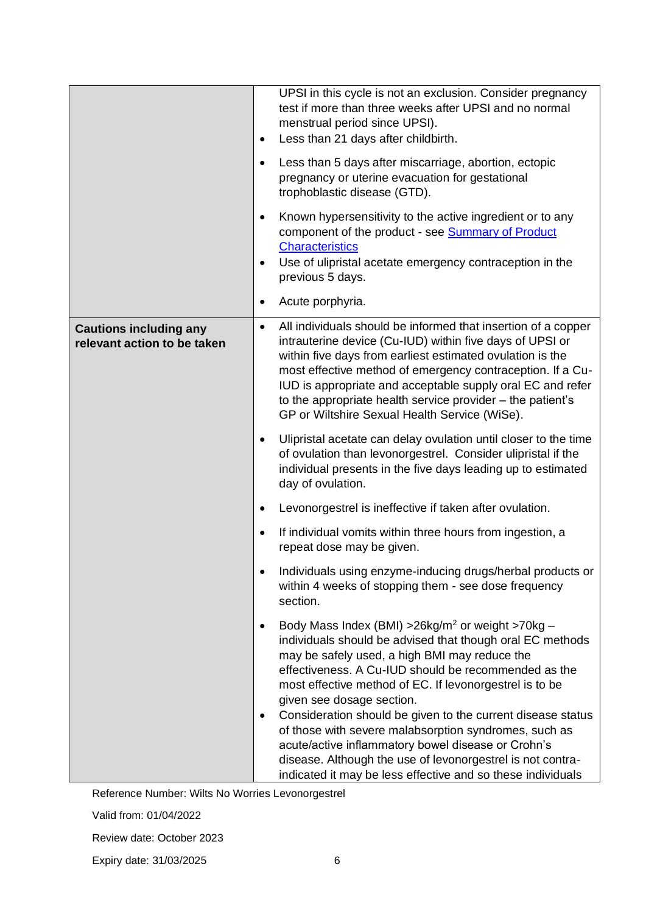|                                                              | UPSI in this cycle is not an exclusion. Consider pregnancy<br>test if more than three weeks after UPSI and no normal<br>menstrual period since UPSI).<br>Less than 21 days after childbirth.<br>$\bullet$                                                                                                                                                                                                                                                                                                                                                                                                                                                     |
|--------------------------------------------------------------|---------------------------------------------------------------------------------------------------------------------------------------------------------------------------------------------------------------------------------------------------------------------------------------------------------------------------------------------------------------------------------------------------------------------------------------------------------------------------------------------------------------------------------------------------------------------------------------------------------------------------------------------------------------|
|                                                              | Less than 5 days after miscarriage, abortion, ectopic<br>٠<br>pregnancy or uterine evacuation for gestational<br>trophoblastic disease (GTD).                                                                                                                                                                                                                                                                                                                                                                                                                                                                                                                 |
|                                                              | Known hypersensitivity to the active ingredient or to any<br>٠<br>component of the product - see <b>Summary of Product</b><br><b>Characteristics</b><br>Use of ulipristal acetate emergency contraception in the<br>$\bullet$<br>previous 5 days.                                                                                                                                                                                                                                                                                                                                                                                                             |
|                                                              | Acute porphyria.<br>$\bullet$                                                                                                                                                                                                                                                                                                                                                                                                                                                                                                                                                                                                                                 |
| <b>Cautions including any</b><br>relevant action to be taken | All individuals should be informed that insertion of a copper<br>$\bullet$<br>intrauterine device (Cu-IUD) within five days of UPSI or<br>within five days from earliest estimated ovulation is the<br>most effective method of emergency contraception. If a Cu-<br>IUD is appropriate and acceptable supply oral EC and refer<br>to the appropriate health service provider - the patient's<br>GP or Wiltshire Sexual Health Service (WiSe).                                                                                                                                                                                                                |
|                                                              | Ulipristal acetate can delay ovulation until closer to the time<br>٠<br>of ovulation than levonorgestrel. Consider ulipristal if the<br>individual presents in the five days leading up to estimated<br>day of ovulation.                                                                                                                                                                                                                                                                                                                                                                                                                                     |
|                                                              | Levonorgestrel is ineffective if taken after ovulation.<br>٠                                                                                                                                                                                                                                                                                                                                                                                                                                                                                                                                                                                                  |
|                                                              | If individual vomits within three hours from ingestion, a<br>$\bullet$<br>repeat dose may be given.                                                                                                                                                                                                                                                                                                                                                                                                                                                                                                                                                           |
|                                                              | Individuals using enzyme-inducing drugs/herbal products or<br>within 4 weeks of stopping them - see dose frequency<br>section.                                                                                                                                                                                                                                                                                                                                                                                                                                                                                                                                |
|                                                              | Body Mass Index (BMI) > $26$ kg/m <sup>2</sup> or weight > 70 kg -<br>$\bullet$<br>individuals should be advised that though oral EC methods<br>may be safely used, a high BMI may reduce the<br>effectiveness. A Cu-IUD should be recommended as the<br>most effective method of EC. If levonorgestrel is to be<br>given see dosage section.<br>Consideration should be given to the current disease status<br>٠<br>of those with severe malabsorption syndromes, such as<br>acute/active inflammatory bowel disease or Crohn's<br>disease. Although the use of levonorgestrel is not contra-<br>indicated it may be less effective and so these individuals |

Valid from: 01/04/2022

Review date: October 2023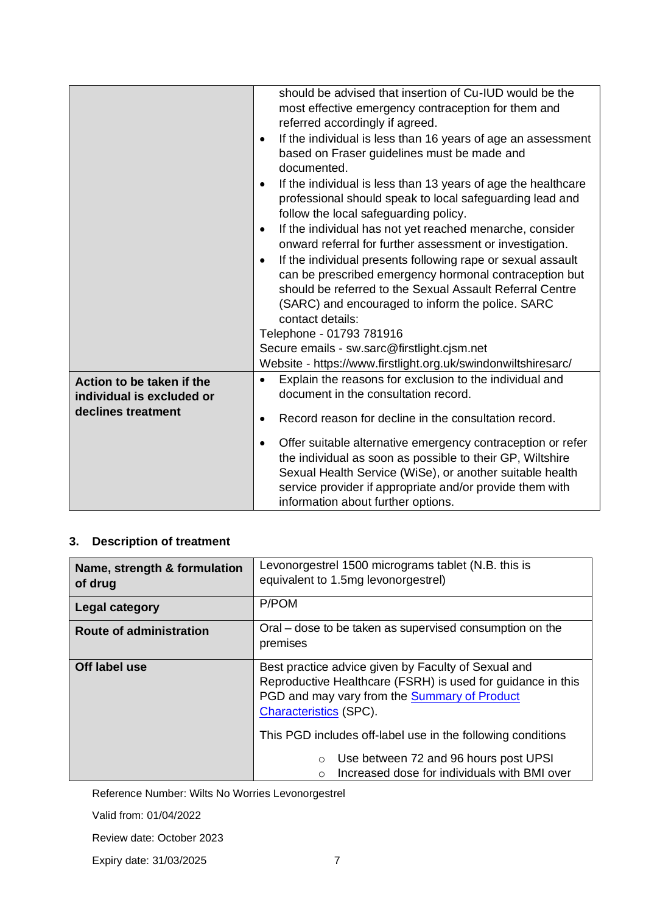|                           | should be advised that insertion of Cu-IUD would be the<br>most effective emergency contraception for them and<br>referred accordingly if agreed.<br>If the individual is less than 16 years of age an assessment<br>$\bullet$<br>based on Fraser guidelines must be made and<br>documented.<br>If the individual is less than 13 years of age the healthcare<br>$\bullet$<br>professional should speak to local safeguarding lead and<br>follow the local safeguarding policy.<br>If the individual has not yet reached menarche, consider<br>$\bullet$<br>onward referral for further assessment or investigation.<br>If the individual presents following rape or sexual assault<br>$\bullet$<br>can be prescribed emergency hormonal contraception but<br>should be referred to the Sexual Assault Referral Centre<br>(SARC) and encouraged to inform the police. SARC<br>contact details:<br>Telephone - 01793 781916<br>Secure emails - sw.sarc@firstlight.cjsm.net<br>Website - https://www.firstlight.org.uk/swindonwiltshiresarc/ |
|---------------------------|--------------------------------------------------------------------------------------------------------------------------------------------------------------------------------------------------------------------------------------------------------------------------------------------------------------------------------------------------------------------------------------------------------------------------------------------------------------------------------------------------------------------------------------------------------------------------------------------------------------------------------------------------------------------------------------------------------------------------------------------------------------------------------------------------------------------------------------------------------------------------------------------------------------------------------------------------------------------------------------------------------------------------------------------|
| Action to be taken if the | Explain the reasons for exclusion to the individual and<br>$\bullet$                                                                                                                                                                                                                                                                                                                                                                                                                                                                                                                                                                                                                                                                                                                                                                                                                                                                                                                                                                       |
| individual is excluded or | document in the consultation record.                                                                                                                                                                                                                                                                                                                                                                                                                                                                                                                                                                                                                                                                                                                                                                                                                                                                                                                                                                                                       |
| declines treatment        |                                                                                                                                                                                                                                                                                                                                                                                                                                                                                                                                                                                                                                                                                                                                                                                                                                                                                                                                                                                                                                            |
|                           | Record reason for decline in the consultation record.<br>$\bullet$                                                                                                                                                                                                                                                                                                                                                                                                                                                                                                                                                                                                                                                                                                                                                                                                                                                                                                                                                                         |
|                           | Offer suitable alternative emergency contraception or refer<br>$\bullet$<br>the individual as soon as possible to their GP, Wiltshire<br>Sexual Health Service (WiSe), or another suitable health<br>service provider if appropriate and/or provide them with<br>information about further options.                                                                                                                                                                                                                                                                                                                                                                                                                                                                                                                                                                                                                                                                                                                                        |

## **3. Description of treatment**

| Name, strength & formulation<br>of drug | Levonorgestrel 1500 micrograms tablet (N.B. this is<br>equivalent to 1.5mg levonorgestrel)                                                                                                          |  |  |
|-----------------------------------------|-----------------------------------------------------------------------------------------------------------------------------------------------------------------------------------------------------|--|--|
| <b>Legal category</b>                   | P/POM                                                                                                                                                                                               |  |  |
| <b>Route of administration</b>          | Oral – dose to be taken as supervised consumption on the<br>premises                                                                                                                                |  |  |
| Off label use                           | Best practice advice given by Faculty of Sexual and<br>Reproductive Healthcare (FSRH) is used for guidance in this<br>PGD and may vary from the Summary of Product<br><b>Characteristics (SPC).</b> |  |  |
|                                         | This PGD includes off-label use in the following conditions                                                                                                                                         |  |  |
|                                         | Use between 72 and 96 hours post UPSI<br>$\circ$<br>Increased dose for individuals with BMI over<br>$\Omega$                                                                                        |  |  |

Reference Number: Wilts No Worries Levonorgestrel

Valid from: 01/04/2022

Review date: October 2023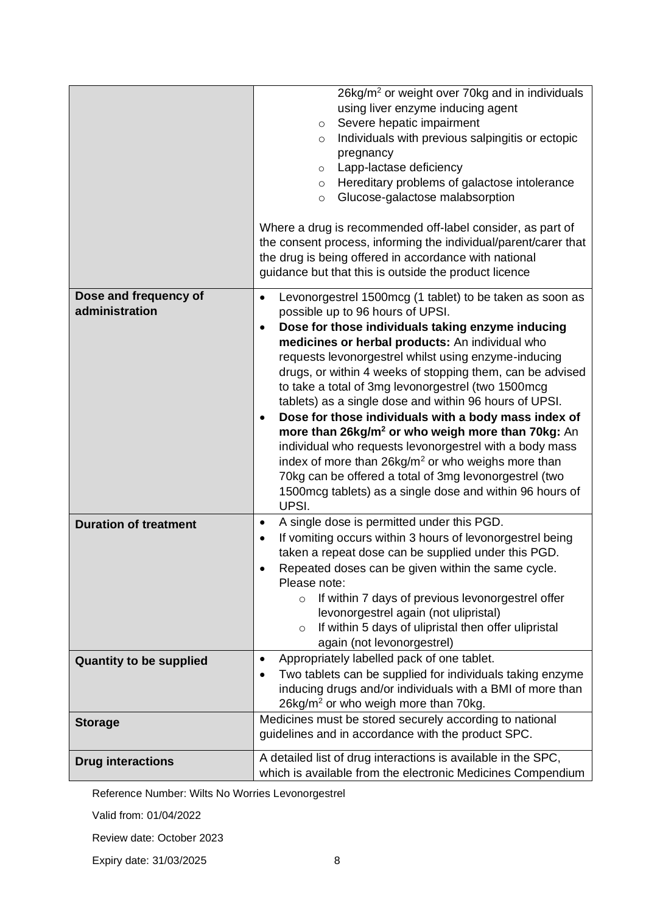|                                         | 26kg/m <sup>2</sup> or weight over 70kg and in individuals<br>using liver enzyme inducing agent<br>Severe hepatic impairment<br>$\circ$<br>Individuals with previous salpingitis or ectopic<br>$\circ$<br>pregnancy<br>Lapp-lactase deficiency<br>$\circ$<br>Hereditary problems of galactose intolerance<br>$\circ$<br>Glucose-galactose malabsorption<br>$\circ$<br>Where a drug is recommended off-label consider, as part of<br>the consent process, informing the individual/parent/carer that<br>the drug is being offered in accordance with national<br>guidance but that this is outside the product licence                                                                                                                                                                                                                                        |  |  |
|-----------------------------------------|--------------------------------------------------------------------------------------------------------------------------------------------------------------------------------------------------------------------------------------------------------------------------------------------------------------------------------------------------------------------------------------------------------------------------------------------------------------------------------------------------------------------------------------------------------------------------------------------------------------------------------------------------------------------------------------------------------------------------------------------------------------------------------------------------------------------------------------------------------------|--|--|
| Dose and frequency of<br>administration | Levonorgestrel 1500mcg (1 tablet) to be taken as soon as<br>$\bullet$<br>possible up to 96 hours of UPSI.<br>Dose for those individuals taking enzyme inducing<br>$\bullet$<br>medicines or herbal products: An individual who<br>requests levonorgestrel whilst using enzyme-inducing<br>drugs, or within 4 weeks of stopping them, can be advised<br>to take a total of 3mg levonorgestrel (two 1500mcg<br>tablets) as a single dose and within 96 hours of UPSI.<br>Dose for those individuals with a body mass index of<br>$\bullet$<br>more than 26kg/m <sup>2</sup> or who weigh more than 70kg: An<br>individual who requests levonorgestrel with a body mass<br>index of more than 26kg/m <sup>2</sup> or who weighs more than<br>70kg can be offered a total of 3mg levonorgestrel (two<br>1500mcg tablets) as a single dose and within 96 hours of |  |  |
| <b>Duration of treatment</b>            | UPSI.<br>A single dose is permitted under this PGD.<br>$\bullet$<br>If vomiting occurs within 3 hours of levonorgestrel being<br>$\bullet$<br>taken a repeat dose can be supplied under this PGD.<br>Repeated doses can be given within the same cycle.<br>Please note:<br>If within 7 days of previous levonorgestrel offer<br>$\circ$<br>levonorgestrel again (not ulipristal)<br>If within 5 days of ulipristal then offer ulipristal<br>$\circ$<br>again (not levonorgestrel)                                                                                                                                                                                                                                                                                                                                                                            |  |  |
| <b>Quantity to be supplied</b>          | Appropriately labelled pack of one tablet.<br>$\bullet$<br>Two tablets can be supplied for individuals taking enzyme<br>$\bullet$<br>inducing drugs and/or individuals with a BMI of more than<br>26kg/m <sup>2</sup> or who weigh more than 70kg.                                                                                                                                                                                                                                                                                                                                                                                                                                                                                                                                                                                                           |  |  |
| <b>Storage</b>                          | Medicines must be stored securely according to national<br>guidelines and in accordance with the product SPC.                                                                                                                                                                                                                                                                                                                                                                                                                                                                                                                                                                                                                                                                                                                                                |  |  |
| <b>Drug interactions</b>                | A detailed list of drug interactions is available in the SPC,<br>which is available from the electronic Medicines Compendium                                                                                                                                                                                                                                                                                                                                                                                                                                                                                                                                                                                                                                                                                                                                 |  |  |

Valid from: 01/04/2022

Review date: October 2023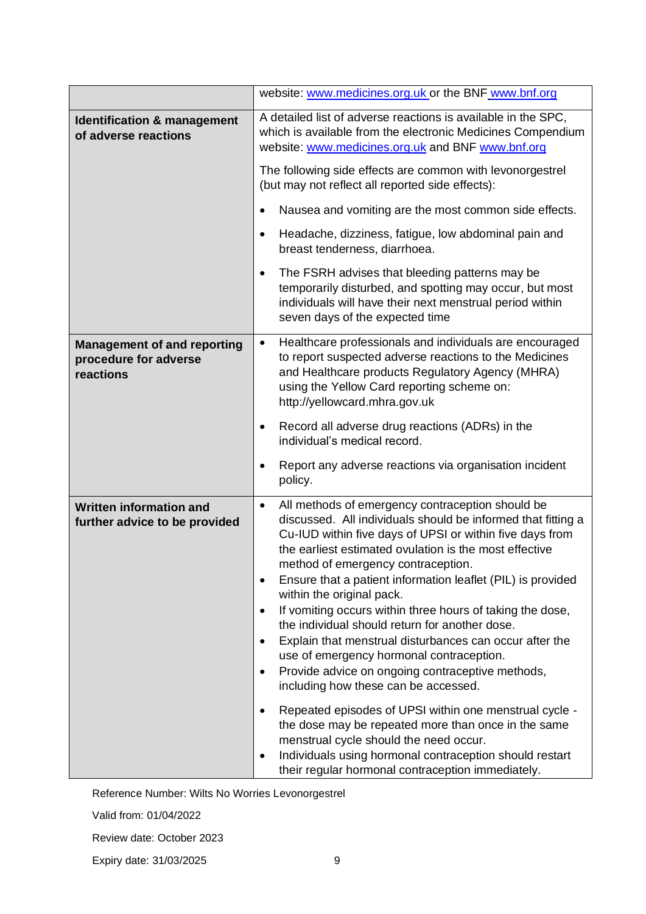|                                                                          | website: www.medicines.org.uk or the BNF www.bnf.org                                                                                                                                                                                                                                                                                                                                                                                                                                                                                                                                                                                                                                                                                                                                                                                                                                                                                                                                                                                                     |  |  |
|--------------------------------------------------------------------------|----------------------------------------------------------------------------------------------------------------------------------------------------------------------------------------------------------------------------------------------------------------------------------------------------------------------------------------------------------------------------------------------------------------------------------------------------------------------------------------------------------------------------------------------------------------------------------------------------------------------------------------------------------------------------------------------------------------------------------------------------------------------------------------------------------------------------------------------------------------------------------------------------------------------------------------------------------------------------------------------------------------------------------------------------------|--|--|
| <b>Identification &amp; management</b><br>of adverse reactions           | A detailed list of adverse reactions is available in the SPC,<br>which is available from the electronic Medicines Compendium<br>website: www.medicines.org.uk and BNF www.bnf.org                                                                                                                                                                                                                                                                                                                                                                                                                                                                                                                                                                                                                                                                                                                                                                                                                                                                        |  |  |
|                                                                          | The following side effects are common with levonorgestrel<br>(but may not reflect all reported side effects):                                                                                                                                                                                                                                                                                                                                                                                                                                                                                                                                                                                                                                                                                                                                                                                                                                                                                                                                            |  |  |
|                                                                          | Nausea and vomiting are the most common side effects.<br>$\bullet$                                                                                                                                                                                                                                                                                                                                                                                                                                                                                                                                                                                                                                                                                                                                                                                                                                                                                                                                                                                       |  |  |
|                                                                          | Headache, dizziness, fatigue, low abdominal pain and<br>٠<br>breast tenderness, diarrhoea.                                                                                                                                                                                                                                                                                                                                                                                                                                                                                                                                                                                                                                                                                                                                                                                                                                                                                                                                                               |  |  |
|                                                                          | The FSRH advises that bleeding patterns may be<br>$\bullet$<br>temporarily disturbed, and spotting may occur, but most<br>individuals will have their next menstrual period within<br>seven days of the expected time                                                                                                                                                                                                                                                                                                                                                                                                                                                                                                                                                                                                                                                                                                                                                                                                                                    |  |  |
| <b>Management of and reporting</b><br>procedure for adverse<br>reactions | Healthcare professionals and individuals are encouraged<br>$\bullet$<br>to report suspected adverse reactions to the Medicines<br>and Healthcare products Regulatory Agency (MHRA)<br>using the Yellow Card reporting scheme on:<br>http://yellowcard.mhra.gov.uk                                                                                                                                                                                                                                                                                                                                                                                                                                                                                                                                                                                                                                                                                                                                                                                        |  |  |
|                                                                          | Record all adverse drug reactions (ADRs) in the<br>$\bullet$<br>individual's medical record.                                                                                                                                                                                                                                                                                                                                                                                                                                                                                                                                                                                                                                                                                                                                                                                                                                                                                                                                                             |  |  |
|                                                                          | Report any adverse reactions via organisation incident<br>$\bullet$<br>policy.                                                                                                                                                                                                                                                                                                                                                                                                                                                                                                                                                                                                                                                                                                                                                                                                                                                                                                                                                                           |  |  |
| <b>Written information and</b><br>further advice to be provided          | All methods of emergency contraception should be<br>$\bullet$<br>discussed. All individuals should be informed that fitting a<br>Cu-IUD within five days of UPSI or within five days from<br>the earliest estimated ovulation is the most effective<br>method of emergency contraception.<br>Ensure that a patient information leaflet (PIL) is provided<br>$\bullet$<br>within the original pack.<br>If vomiting occurs within three hours of taking the dose,<br>$\bullet$<br>the individual should return for another dose.<br>Explain that menstrual disturbances can occur after the<br>$\bullet$<br>use of emergency hormonal contraception.<br>Provide advice on ongoing contraceptive methods,<br>$\bullet$<br>including how these can be accessed.<br>Repeated episodes of UPSI within one menstrual cycle -<br>$\bullet$<br>the dose may be repeated more than once in the same<br>menstrual cycle should the need occur.<br>Individuals using hormonal contraception should restart<br>٠<br>their regular hormonal contraception immediately. |  |  |

Valid from: 01/04/2022

Review date: October 2023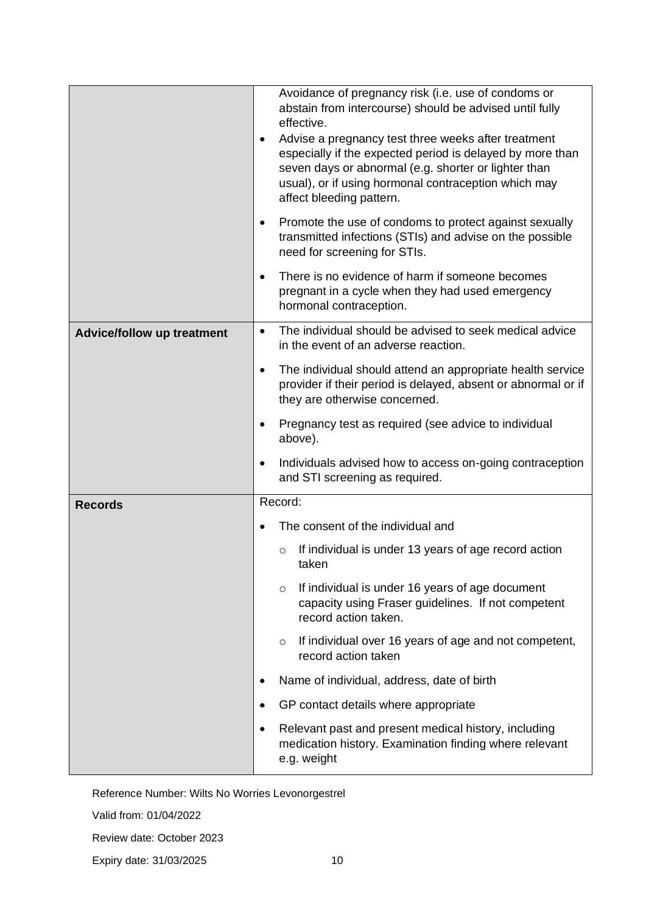|                                   | Avoidance of pregnancy risk (i.e. use of condoms or<br>abstain from intercourse) should be advised until fully<br>effective.<br>Advise a pregnancy test three weeks after treatment<br>especially if the expected period is delayed by more than<br>seven days or abnormal (e.g. shorter or lighter than<br>usual), or if using hormonal contraception which may<br>affect bleeding pattern. |  |
|-----------------------------------|----------------------------------------------------------------------------------------------------------------------------------------------------------------------------------------------------------------------------------------------------------------------------------------------------------------------------------------------------------------------------------------------|--|
|                                   | Promote the use of condoms to protect against sexually<br>$\bullet$<br>transmitted infections (STIs) and advise on the possible<br>need for screening for STIs.                                                                                                                                                                                                                              |  |
|                                   | There is no evidence of harm if someone becomes<br>$\bullet$<br>pregnant in a cycle when they had used emergency<br>hormonal contraception.                                                                                                                                                                                                                                                  |  |
| <b>Advice/follow up treatment</b> | The individual should be advised to seek medical advice<br>$\bullet$<br>in the event of an adverse reaction.                                                                                                                                                                                                                                                                                 |  |
|                                   | The individual should attend an appropriate health service<br>$\bullet$<br>provider if their period is delayed, absent or abnormal or if<br>they are otherwise concerned.                                                                                                                                                                                                                    |  |
|                                   | Pregnancy test as required (see advice to individual<br>above).                                                                                                                                                                                                                                                                                                                              |  |
|                                   | Individuals advised how to access on-going contraception<br>٠<br>and STI screening as required.                                                                                                                                                                                                                                                                                              |  |
| <b>Records</b>                    | Record:                                                                                                                                                                                                                                                                                                                                                                                      |  |
|                                   | The consent of the individual and                                                                                                                                                                                                                                                                                                                                                            |  |
|                                   | If individual is under 13 years of age record action<br>$\circ$<br>taken                                                                                                                                                                                                                                                                                                                     |  |
|                                   | If individual is under 16 years of age document<br>$\circ$<br>capacity using Fraser guidelines. If not competent<br>record action taken.                                                                                                                                                                                                                                                     |  |
|                                   | If individual over 16 years of age and not competent,<br>$\circ$<br>record action taken                                                                                                                                                                                                                                                                                                      |  |
|                                   | Name of individual, address, date of birth                                                                                                                                                                                                                                                                                                                                                   |  |
|                                   | GP contact details where appropriate                                                                                                                                                                                                                                                                                                                                                         |  |
|                                   | Relevant past and present medical history, including<br>$\bullet$<br>medication history. Examination finding where relevant<br>e.g. weight                                                                                                                                                                                                                                                   |  |

Valid from: 01/04/2022

Review date: October 2023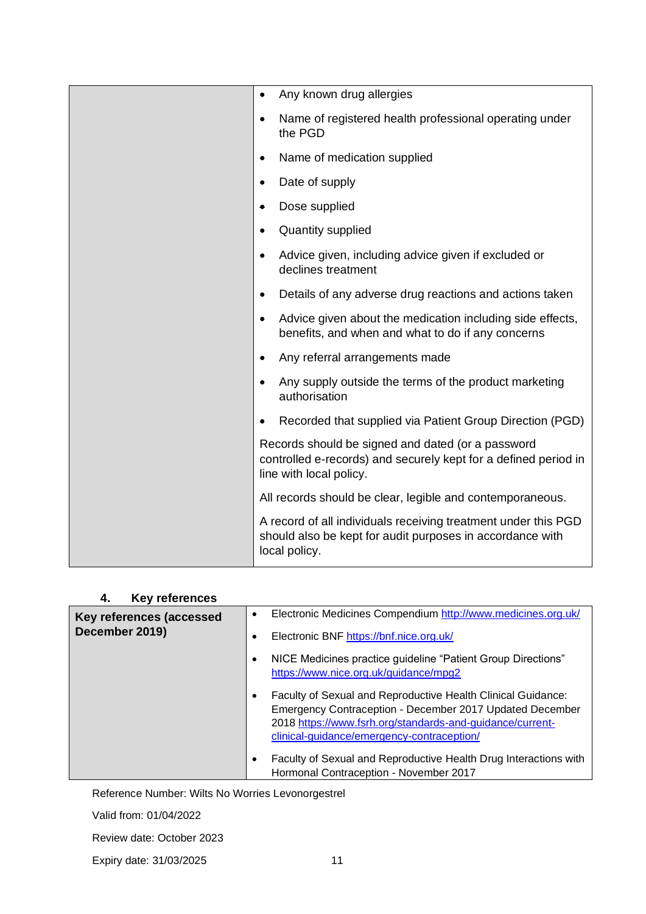| Any known drug allergies<br>٠                                                                                                                   |
|-------------------------------------------------------------------------------------------------------------------------------------------------|
| Name of registered health professional operating under<br>$\bullet$<br>the PGD                                                                  |
| Name of medication supplied<br>$\bullet$                                                                                                        |
| Date of supply<br>٠                                                                                                                             |
| Dose supplied                                                                                                                                   |
| <b>Quantity supplied</b><br>٠                                                                                                                   |
| Advice given, including advice given if excluded or<br>٠<br>declines treatment                                                                  |
| Details of any adverse drug reactions and actions taken<br>$\bullet$                                                                            |
| Advice given about the medication including side effects,<br>٠<br>benefits, and when and what to do if any concerns                             |
| Any referral arrangements made<br>٠                                                                                                             |
| Any supply outside the terms of the product marketing<br>٠<br>authorisation                                                                     |
| Recorded that supplied via Patient Group Direction (PGD)<br>٠                                                                                   |
| Records should be signed and dated (or a password<br>controlled e-records) and securely kept for a defined period in<br>line with local policy. |
| All records should be clear, legible and contemporaneous.                                                                                       |
| A record of all individuals receiving treatment under this PGD<br>should also be kept for audit purposes in accordance with<br>local policy.    |
|                                                                                                                                                 |

| <b>Key references</b><br>4.                |                                                                                                                                                                                                                                                  |
|--------------------------------------------|--------------------------------------------------------------------------------------------------------------------------------------------------------------------------------------------------------------------------------------------------|
| Key references (accessed<br>December 2019) | Electronic Medicines Compendium http://www.medicines.org.uk/<br>$\bullet$                                                                                                                                                                        |
|                                            | Electronic BNF https://bnf.nice.org.uk/<br>$\bullet$                                                                                                                                                                                             |
|                                            | NICE Medicines practice guideline "Patient Group Directions"<br>$\bullet$<br>https://www.nice.org.uk/guidance/mpg2                                                                                                                               |
|                                            | Faculty of Sexual and Reproductive Health Clinical Guidance:<br>$\bullet$<br>Emergency Contraception - December 2017 Updated December<br>2018 https://www.fsrh.org/standards-and-guidance/current-<br>clinical-guidance/emergency-contraception/ |
|                                            | Faculty of Sexual and Reproductive Health Drug Interactions with<br>٠<br>Hormonal Contraception - November 2017                                                                                                                                  |

Valid from: 01/04/2022

Review date: October 2023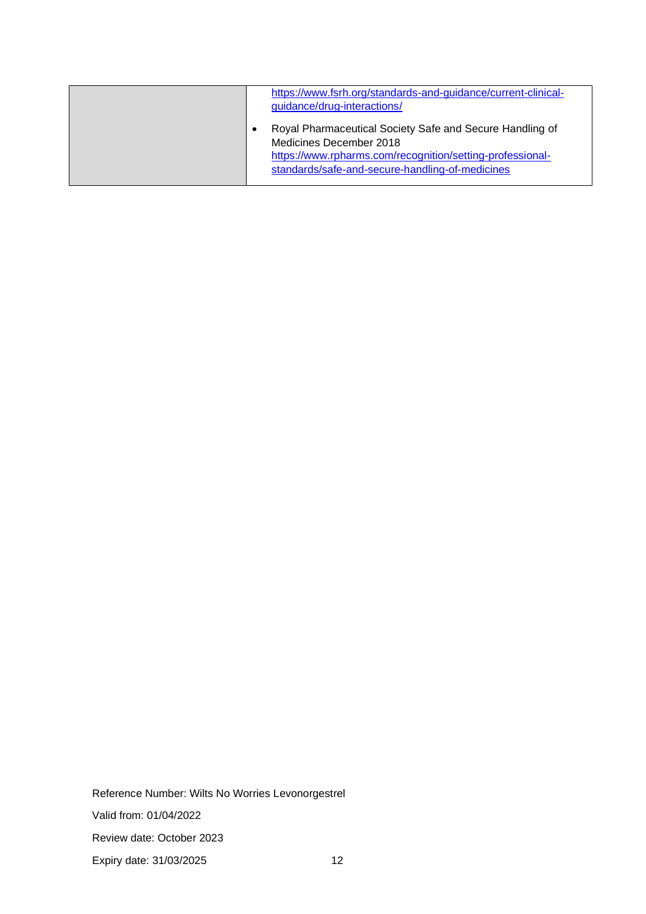| https://www.fsrh.org/standards-and-guidance/current-clinical-<br>guidance/drug-interactions/                                                                                                        |
|-----------------------------------------------------------------------------------------------------------------------------------------------------------------------------------------------------|
| Royal Pharmaceutical Society Safe and Secure Handling of<br>Medicines December 2018<br>https://www.rpharms.com/recognition/setting-professional-<br>standards/safe-and-secure-handling-of-medicines |

Reference Number: Wilts No Worries Levonorgestrel Valid from: 01/04/2022 Review date: October 2023 Expiry date: 31/03/2025 12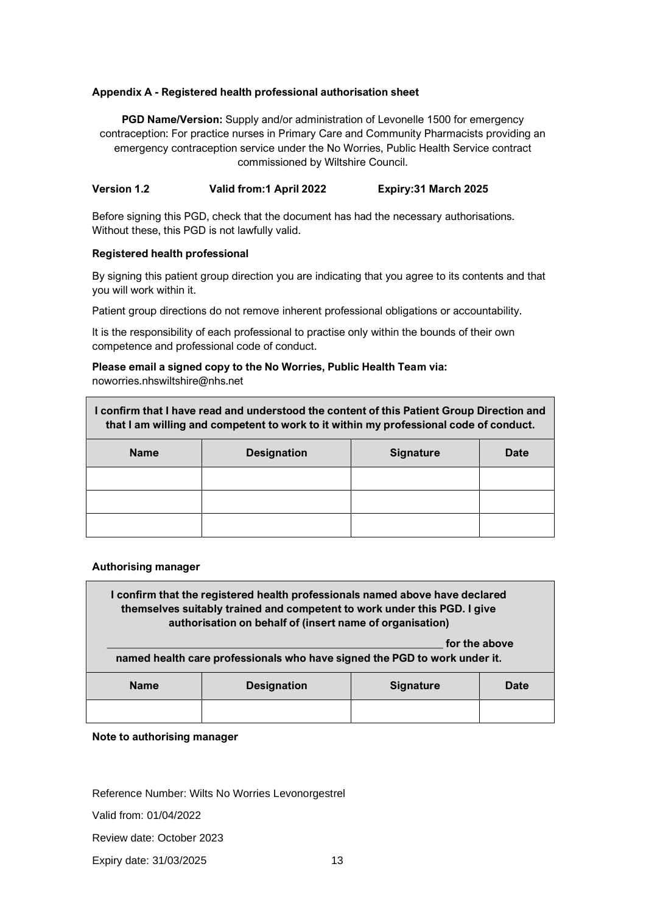#### **Appendix A - Registered health professional authorisation sheet**

**PGD Name/Version:** Supply and/or administration of Levonelle 1500 for emergency contraception: For practice nurses in Primary Care and Community Pharmacists providing an emergency contraception service under the No Worries, Public Health Service contract commissioned by Wiltshire Council.

#### **Version 1.2 Valid from:1 April 2022 Expiry:31 March 2025**

Before signing this PGD, check that the document has had the necessary authorisations. Without these, this PGD is not lawfully valid.

#### **Registered health professional**

By signing this patient group direction you are indicating that you agree to its contents and that you will work within it.

Patient group directions do not remove inherent professional obligations or accountability.

It is the responsibility of each professional to practise only within the bounds of their own competence and professional code of conduct.

## **Please email a signed copy to the No Worries, Public Health Team via:**

noworries.nhswiltshire@nhs.net

| I confirm that I have read and understood the content of this Patient Group Direction and<br>that I am willing and competent to work to it within my professional code of conduct. |                    |                  |      |
|------------------------------------------------------------------------------------------------------------------------------------------------------------------------------------|--------------------|------------------|------|
| <b>Name</b>                                                                                                                                                                        | <b>Designation</b> | <b>Signature</b> | Date |
|                                                                                                                                                                                    |                    |                  |      |
|                                                                                                                                                                                    |                    |                  |      |
|                                                                                                                                                                                    |                    |                  |      |

#### **Authorising manager**

**I confirm that the registered health professionals named above have declared themselves suitably trained and competent to work under this PGD. I give authorisation on behalf of (insert name of organisation)** for the above **named health care professionals who have signed the PGD to work under it.**

| <b>Name</b> | <b>Designation</b> | <b>Signature</b> | <b>Date</b> |
|-------------|--------------------|------------------|-------------|
|             |                    |                  |             |

#### **Note to authorising manager**

Reference Number: Wilts No Worries Levonorgestrel

Valid from: 01/04/2022

Review date: October 2023